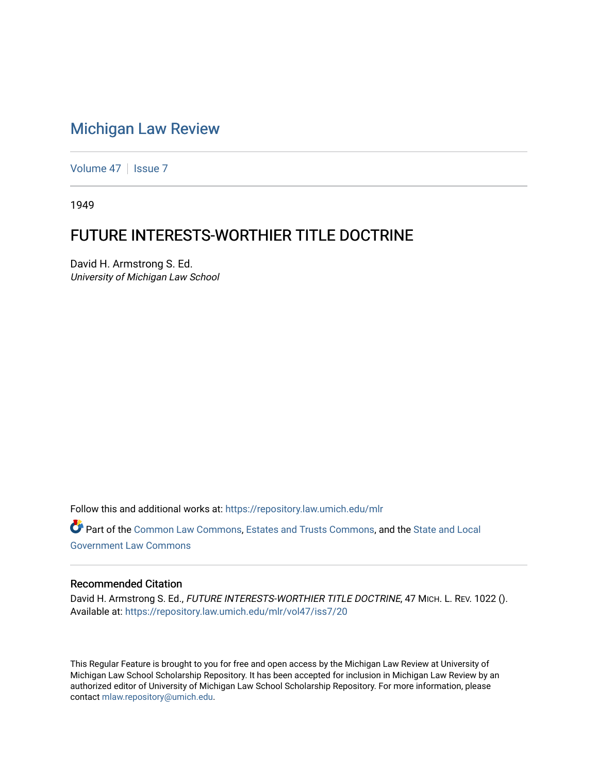## [Michigan Law Review](https://repository.law.umich.edu/mlr)

[Volume 47](https://repository.law.umich.edu/mlr/vol47) | [Issue 7](https://repository.law.umich.edu/mlr/vol47/iss7)

1949

## FUTURE INTERESTS-WORTHIER TITLE DOCTRINE

David H. Armstrong S. Ed. University of Michigan Law School

Follow this and additional works at: [https://repository.law.umich.edu/mlr](https://repository.law.umich.edu/mlr?utm_source=repository.law.umich.edu%2Fmlr%2Fvol47%2Fiss7%2F20&utm_medium=PDF&utm_campaign=PDFCoverPages) 

Part of the [Common Law Commons,](http://network.bepress.com/hgg/discipline/1120?utm_source=repository.law.umich.edu%2Fmlr%2Fvol47%2Fiss7%2F20&utm_medium=PDF&utm_campaign=PDFCoverPages) [Estates and Trusts Commons,](http://network.bepress.com/hgg/discipline/906?utm_source=repository.law.umich.edu%2Fmlr%2Fvol47%2Fiss7%2F20&utm_medium=PDF&utm_campaign=PDFCoverPages) and the [State and Local](http://network.bepress.com/hgg/discipline/879?utm_source=repository.law.umich.edu%2Fmlr%2Fvol47%2Fiss7%2F20&utm_medium=PDF&utm_campaign=PDFCoverPages)  [Government Law Commons](http://network.bepress.com/hgg/discipline/879?utm_source=repository.law.umich.edu%2Fmlr%2Fvol47%2Fiss7%2F20&utm_medium=PDF&utm_campaign=PDFCoverPages) 

## Recommended Citation

David H. Armstrong S. Ed., FUTURE INTERESTS-WORTHIER TITLE DOCTRINE, 47 MICH. L. REV. 1022 (). Available at: [https://repository.law.umich.edu/mlr/vol47/iss7/20](https://repository.law.umich.edu/mlr/vol47/iss7/20?utm_source=repository.law.umich.edu%2Fmlr%2Fvol47%2Fiss7%2F20&utm_medium=PDF&utm_campaign=PDFCoverPages) 

This Regular Feature is brought to you for free and open access by the Michigan Law Review at University of Michigan Law School Scholarship Repository. It has been accepted for inclusion in Michigan Law Review by an authorized editor of University of Michigan Law School Scholarship Repository. For more information, please contact [mlaw.repository@umich.edu](mailto:mlaw.repository@umich.edu).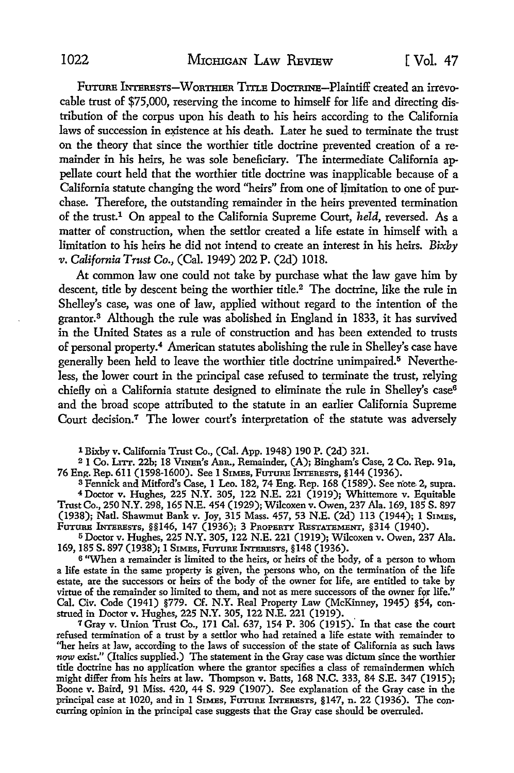Future INTERESTS-WORTHIER TITLE DOCTRINE-Plaintiff created an irrevocable trust of \$75,000, reserving the income to himself for life and directing distribution of the corpus upon his death to his heirs according to the California laws of succession in existence at his death. Later he sued to terminate the trust on the theory that since the worthier title doctrine prevented creation of a remainder in his heirs, he was sole beneficiary. The intermediate California appellate court held that the worthier title doctrine was inapplicable because of a California statute changing the word "heirs" from one of limitation to one of purchase. Therefore, the outstanding remainder in the heirs prevented termination of the trust.1 On appeal to the California Supreme Court, *held,* reversed. As a matter of construction, when the settlor created a life estate in himself with a limitation to his heirs he did not intend to create an interest in his heirs. *Bixby v. California Trust Co.,* (Cal. 1949) 202 P. (2d) 1018.

At common law one could not take by purchase what the law gave him by descent, title by descent being the worthier title.<sup>2</sup> The doctrine, like the rule in Shelley's case, was one of law, applied without regard to the intention of the grantor.<sup>3</sup> Although the rule was abolished in England in 1833, it has survived in the United States as a rule of construction and has been extended to trusts of personal property.<sup>4</sup> American statutes abolishing the rule in Shelley's case have generally been held to leave the worthier title doctrine unimpaired.<sup>5</sup> Nevertheless, the lower court in the principal case refused to terminate the trust, relying chiefly on a California statute designed to eliminate the rule in Shelley's case<sup>6</sup> and the broad scope attributed to the statute in an earlier California Supreme Court decision.7 The lower court's interpretation of the statute was adversely

1 Bixby v. California Trust Co., (Cal. App. 1948) 190 P. (2d) 321.

<sup>2</sup>1 Co. Lrrr. 22b; 18 VrnEn's Ann., Remainder, **(A);** Bingham's Case, 2 Co. Rep. 91a, 76 Eng. Rep. 611 (1598-1600). See 1 SIMES, FUTURE INTERESTS, §144 (1936).

<sup>3</sup> Fennick and Mitford's Case, 1 Leo. 182, 74 Eng. Rep. 168 (1589). See note 2, supra. <sup>4</sup>Doctor v. Hughes, 225 N.Y. 305, 122 N.E. 221 (1919); Whittemore v. Equitable Trust Co., 250 N.Y. 298, 165 N.E. 454 (1929); Wilcoxen v. Owen, 237 Ala. 169, 185 S. 897 (1938); Natl. Shawmut Bank v. Joy, 315 Mass. 457, 53 N.E. (2d) 113 (1944); 1 SIMES, Future Interests, §§146, 147 (1936); 3 Property Restatement, §314 (1940).

<sup>5</sup>Doctor v. Hughes, 225 N.Y. 305, 122 N.E. 221 (1919); Wilcoxen v. Owen, 237 Ala. 169, 185 S. 897 (1938); 1 SIMES, FuTURE INTERESTS, §148 (1936).

6 "When a remainder is limited to the heirs, or heirs of the body, of a person to whom a life estate in the same property is given, the persons who, on the termination of the life estate, are the successors or heirs of the body of the owner for life, are entitled to take by virtue of the remainder so limited to them, and not as mere successors of the owner for life." Cal. Civ. Code (1941) §779. Cf. N.Y. Real Property Law (McKinney, 1945) §54, construed in Doctor v. Hughes, 225 N.Y. 305, 122 N.E. 221 (1919).

<sup>7</sup>Gray v. Union Trust Co., 171 Cal. 637, 154 P. 306 (1915)." In that case the court refused termination of a trust by a settlor who had retained a life estate with remainder to "her heirs at law, according to the laws of succession of the state of California as such laws *now* exist." (Italics supplied.) The statement in the Gray case was dictum since the worthier title doctrine has no application where the grantor specifies a class of remaindermen which might differ from his heirs at law. Thompson v. Batts, 168 N.C. 333, 84 S.E. 347 (1915); Boone v. Baird, 91 Miss. 420, 44 S. 929 (1907). See explanation of the Gray case in the principal case at 1020, and in 1 SIMES, FUTURE INTERESTS, §147, n. 22 (1936). The concurring opinion in the principal case suggests that the Gray case should be overruled.